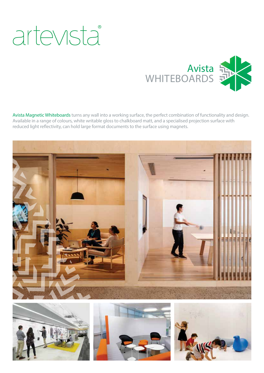# artevista®



Avista Magnetic Whiteboards turns any wall into a working surface, the perfect combination of functionality and design. Available in a range of colours, white writable gloss to chalkboard matt, and a specialised projection surface with reduced light reflectivity, can hold large format documents to the surface using magnets.